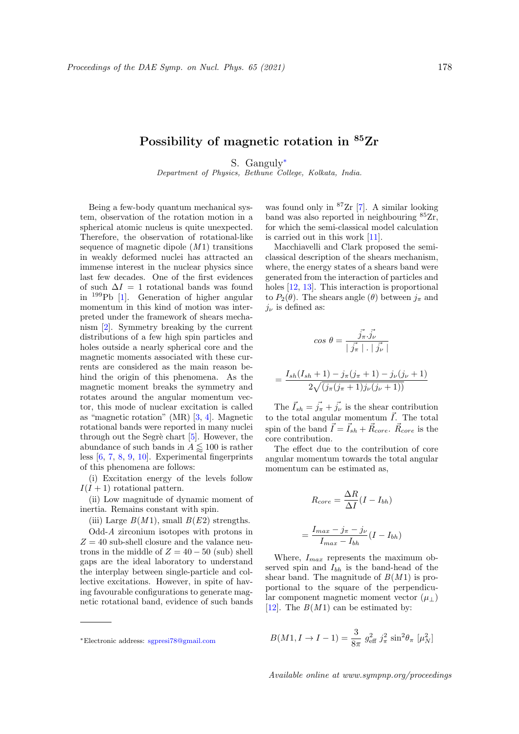## Possibility of magnetic rotation in <sup>85</sup>Zr

S. Ganguly<sup>∗</sup>

Department of Physics, Bethune College, Kolkata, India.

Being a few-body quantum mechanical system, observation of the rotation motion in a spherical atomic nucleus is quite unexpected. Therefore, the observation of rotational-like sequence of magnetic dipole  $(M1)$  transitions in weakly deformed nuclei has attracted an immense interest in the nuclear physics since last few decades. One of the first evidences of such  $\Delta I = 1$  rotational bands was found in <sup>199</sup>Pb [1]. Generation of higher angular momentum in this kind of motion was interpreted under the framework of shears mechanism [2]. Symmetry breaking by the current distributions of a few high spin particles and holes outside a nearly spherical core and the magnetic moments associated with these currents are considered as the main reason behind the origin of this phenomena. As the magnetic moment breaks the symmetry and rotates around the angular momentum vector, this mode of nuclear excitation is called as "magnetic rotation" (MR) [3, 4]. Magnetic rotational bands were reported in many nuclei through out the Segrè chart  $[5]$ . However, the abundance of such bands in  $A \lessapprox 100$  is rather less [6, 7, 8, 9, 10]. Experimental fingerprints of this phenomena are follows:

(i) Excitation energy of the levels follow  $I(I + 1)$  rotational pattern.

(ii) Low magnitude of dynamic moment of inertia. Remains constant with spin.

(iii) Large  $B(M1)$ , small  $B(E2)$  strengths.

Odd-A zirconium isotopes with protons in  $Z = 40$  sub-shell closure and the valance neutrons in the middle of  $Z = 40 - 50$  (sub) shell gaps are the ideal laboratory to understand the interplay between single-particle and collective excitations. However, in spite of having favourable configurations to generate magnetic rotational band, evidence of such bands was found only in <sup>87</sup>Zr [7]. A similar looking band was also reported in neighbouring  ${}^{85}Zr$ , for which the semi-classical model calculation is carried out in this work [11].

Macchiavelli and Clark proposed the semiclassical description of the shears mechanism, where, the energy states of a shears band were generated from the interaction of particles and holes [12, 13]. This interaction is proportional to  $P_2(\theta)$ . The shears angle  $(\theta)$  between  $j_{\pi}$  and  $j_{\nu}$  is defined as:

$$
\cos \theta = \frac{\vec{j_{\pi}} \cdot \vec{j_{\nu}}}{|\vec{j_{\pi}}| \cdot |\vec{j_{\nu}}|}
$$

$$
=\frac{I_{sh}(I_{sh}+1)-j_{\pi}(j_{\pi}+1)-j_{\nu}(j_{\nu}+1)}{2\sqrt{(j_{\pi}(j_{\pi}+1)j_{\nu}(j_{\nu}+1))}}
$$

The  $\vec{I}_{sh} = \vec{j}_{\pi} + \vec{j}_{\nu}$  is the shear contribution to the total angular momentum  $\vec{I}$ . The total spin of the band  $\vec{I} = \vec{I}_{sh} + \vec{R}_{core}$ .  $\vec{R}_{core}$  is the core contribution.

The effect due to the contribution of core angular momentum towards the total angular momentum can be estimated as,

$$
R_{core} = \frac{\Delta R}{\Delta I} (I - I_{bh})
$$

$$
= \frac{I_{max} - j_{\pi} - j_{\nu}}{I_{max} - I_{bh}} (I - I_{bh})
$$

Where,  $I_{max}$  represents the maximum observed spin and  $I_{bh}$  is the band-head of the shear band. The magnitude of  $B(M1)$  is proportional to the square of the perpendicular component magnetic moment vector  $(\mu_{\perp})$ [12]. The  $B(M1)$  can be estimated by:

$$
B(M1, I \to I - 1) = \frac{3}{8\pi} g_{\text{eff}}^2 j_\pi^2 \sin^2 \theta_\pi [\mu_N^2]
$$

<sup>∗</sup>Electronic address: sgpresi78@gmail.com